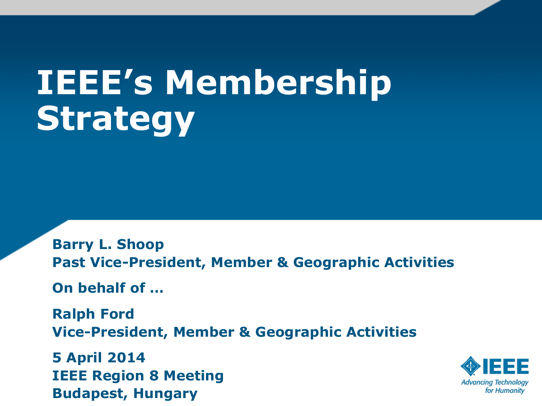# **IEEE's Membership Strategy**

**Barry L. Shoop Past Vice-President, Member & Geographic Activities**

**On behalf of …**

**Ralph Ford Vice-President, Member & Geographic Activities**

**5 April 2014 IEEE Region 8 Meeting Budapest, Hungary**

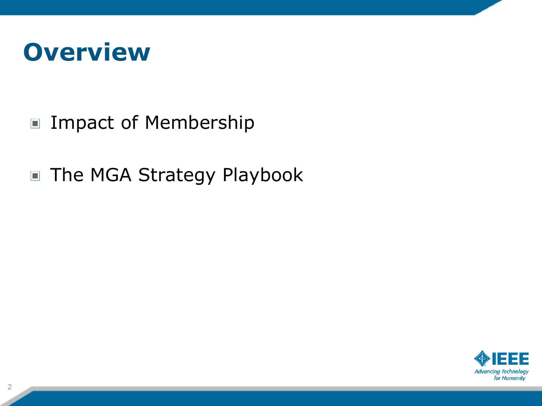

- Impact of Membership
- The MGA Strategy Playbook

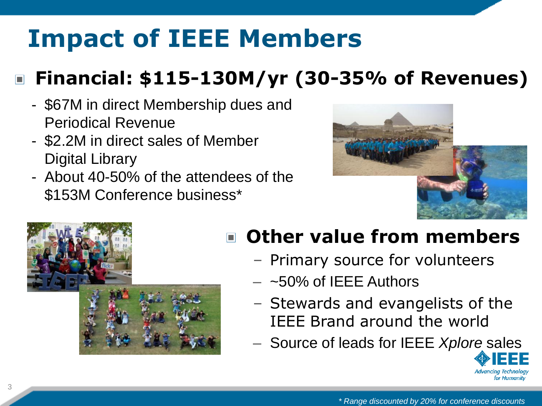## **Impact of IEEE Members**

### **Financial: \$115-130M/yr (30-35% of Revenues)**

- \$67M in direct Membership dues and Periodical Revenue
- \$2.2M in direct sales of Member Digital Library
- About 40-50% of the attendees of the \$153M Conference business\*





#### **Other value from members**  $\Box$

- Primary source for volunteers
- $-$  ~50% of IEEE Authors
- Stewards and evangelists of the IEEE Brand around the world
- Source of leads for IEEE *Xplore* sales

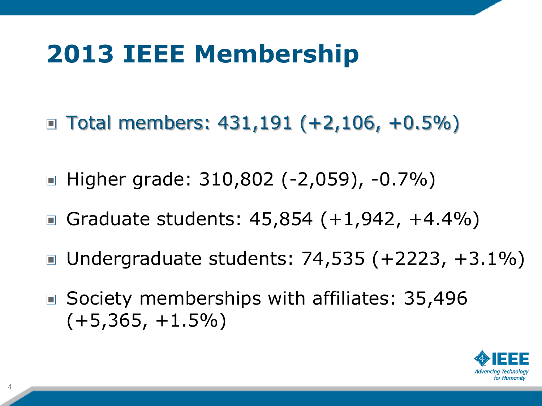## **2013 IEEE Membership**

- Total members:  $431,191$  (+2,106, +0.5%)
- Higher grade: 310,802 (-2,059), -0.7%)
- Graduate students:  $45,854 (+1,942, +4.4\%)$
- Undergraduate students: 74,535 (+2223, +3.1%)  $\Box$
- Society memberships with affiliates: 35,496  $(+5,365, +1.5\%)$

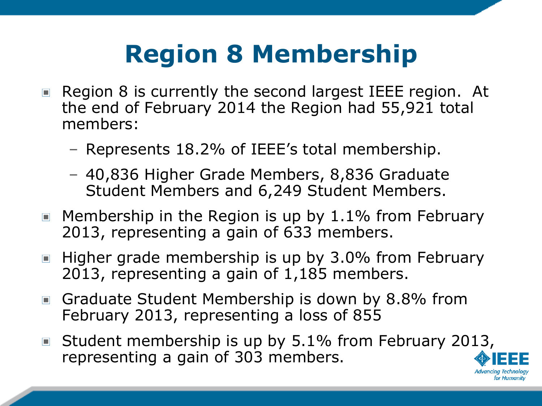## **Region 8 Membership**

- Region 8 is currently the second largest IEEE region. At  $\Box$ the end of February 2014 the Region had 55,921 total members:
	- Represents 18.2% of IEEE's total membership.
	- 40,836 Higher Grade Members, 8,836 Graduate Student Members and 6,249 Student Members.
- $\blacksquare$  Membership in the Region is up by 1.1% from February 2013, representing a gain of 633 members.
- $\blacksquare$  Higher grade membership is up by 3.0% from February 2013, representing a gain of 1,185 members.
- Graduate Student Membership is down by 8.8% from February 2013, representing a loss of 855
- Student membership is up by 5.1% from February 2013,  $\Box$ representing a gain of 303 members.

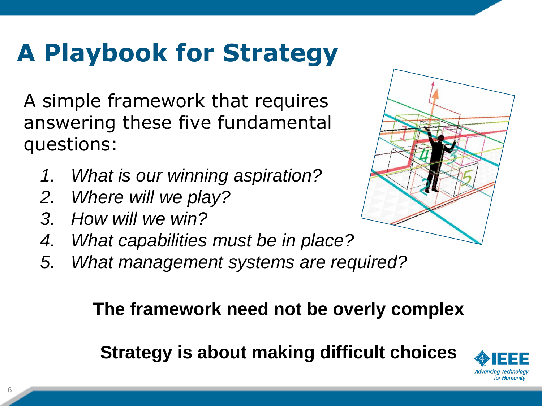## **A Playbook for Strategy**

A simple framework that requires answering these five fundamental questions:

- *1. What is our winning aspiration?*
- *2. Where will we play?*
- *3. How will we win?*
- *4. What capabilities must be in place?*
- *5. What management systems are required?*

#### **The framework need not be overly complex**

#### **Strategy is about making difficult choices**



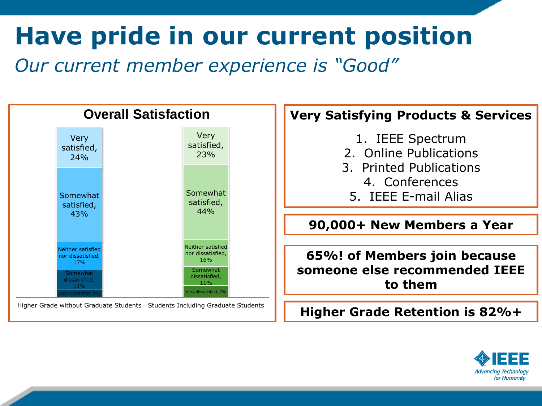## **Have pride in our current position**

*Our current member experience is "Good"*



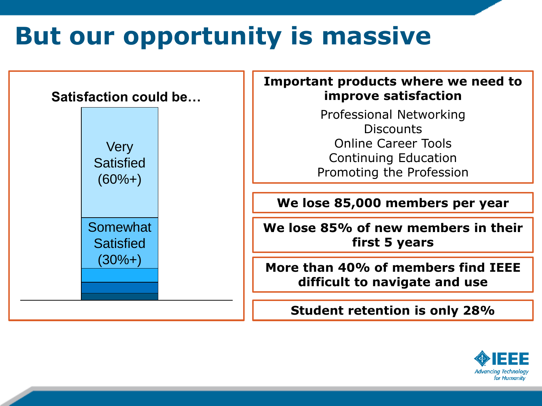## **But our opportunity is massive**



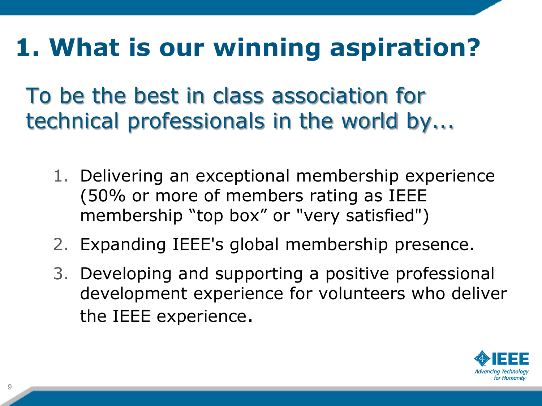## **1. What is our winning aspiration?**

To be the best in class association for technical professionals in the world by...

- 1. Delivering an exceptional membership experience (50% or more of members rating as IEEE membership "top box" or "very satisfied")
- 2. Expanding IEEE's global membership presence.
- 3. Developing and supporting a positive professional development experience for volunteers who deliver the IEEE experience.

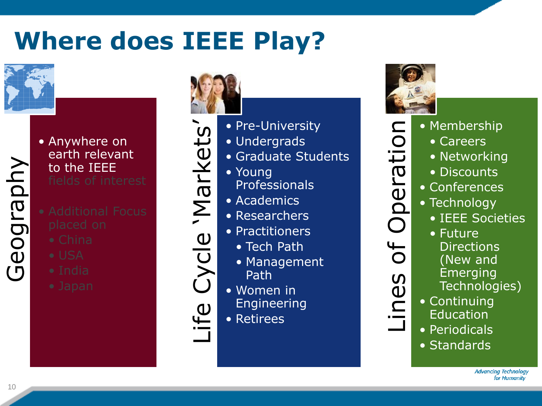## **Where does IEEE Play?**



Geography

#### • Anywhere on earth relevant to the IEEE

- 
- 
- 
- 
- 



Life Cycle 'Markets' • Pre-University Markets • Undergrads • Graduate Students • Young Professionals • Academics • Researchers Cycle • Practitioners • Tech Path • Management • Women in Engineering Life • Retirees

Path

 $\mathbf{\mathsf{\Xi}}$ 

 $\overline{O}$ 

 $\overline{\overline{L}}$ 

Operat

Of

Lines

- Membership
	- Careers
		- Networking
		- Discounts
- Conferences
- Technology
	- IEEE Societies
- Future **Directions** (New and
	- **Emerging** Technologies)
- Lines of Operation • Continuing **Education** 
	- Periodicals
	- Standards

**Advancing Technology** for Humanity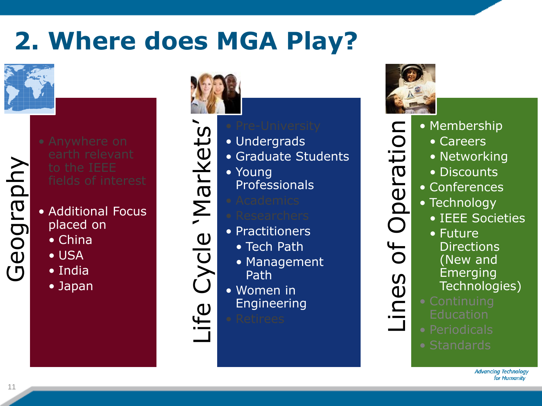## **2. Where does MGA Play?**



- Geography
	- Additional Focus placed on
		- China
		- USA
		- India
		- Japan





Life

- Undergrads
- Graduate Students
- Young Professionals
- Practitioners
	- Tech Path
	- Management Path
- Women in Engineering



 $\mathbf{\mathsf{\Xi}}$ 

 $\overline{O}$ 

Operat

bf

Lines

- Lines of Operation • Membership
	- Careers
		- Networking
		- Discounts
	- Conferences
	- Technology
		- IEEE Societies
		- Future **Directions** (New and **Emerging** Technologies)
	-
	-
	-

**Advancing Technology** for Humanity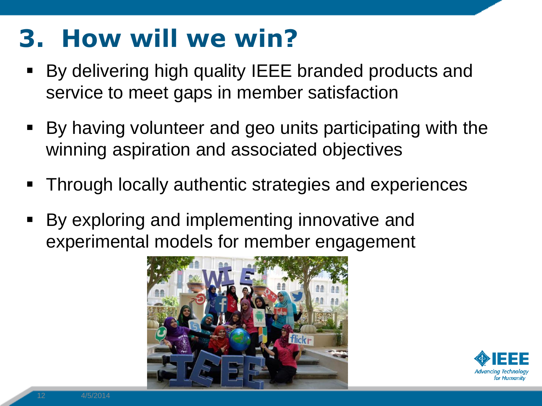## **3. How will we win?**

- By delivering high quality IEEE branded products and service to meet gaps in member satisfaction
- By having volunteer and geo units participating with the winning aspiration and associated objectives
- Through locally authentic strategies and experiences
- By exploring and implementing innovative and experimental models for member engagement



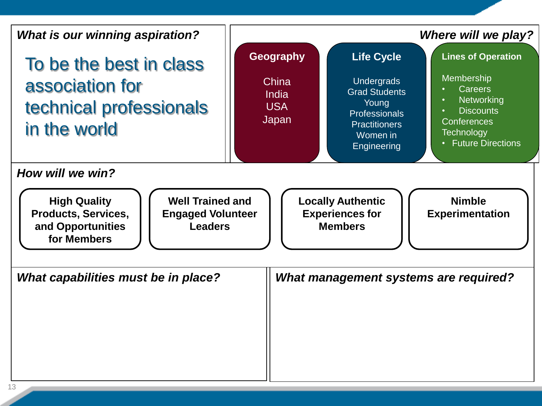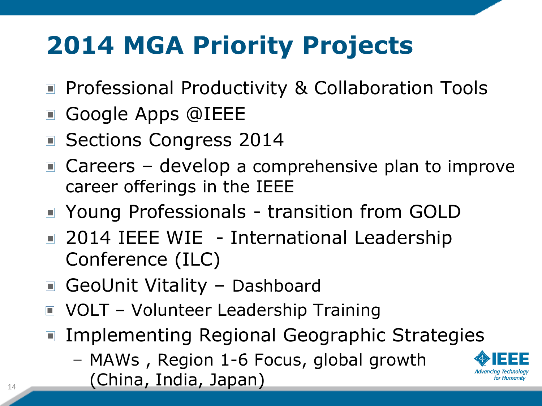## **2014 MGA Priority Projects**

- Professional Productivity & Collaboration Tools
- Google Apps @IEEE
- Sections Congress 2014
- $\blacksquare$  Careers develop a comprehensive plan to improve career offerings in the IEEE
- Young Professionals transition from GOLD
- 2014 IEEE WIE International Leadership Conference (ILC)
- GeoUnit Vitality Dashboard
- VOLT Volunteer Leadership Training
- Implementing Regional Geographic Strategies
	- MAWs , Region 1-6 Focus, global growth

 $\begin{pmatrix} 14 & 14 \end{pmatrix}$  (China, India, Japan)